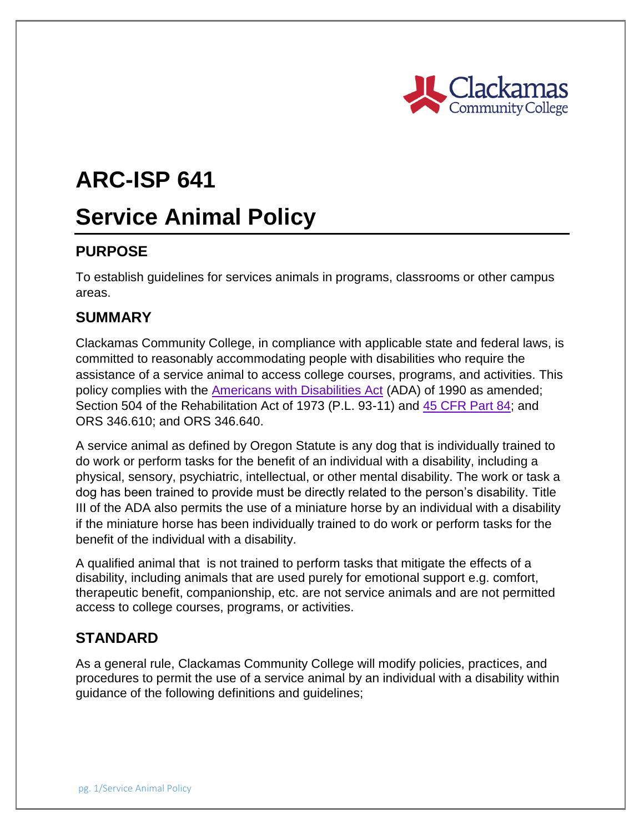

# **ARC-ISP 641**

## **Service Animal Policy**

## **PURPOSE**

To establish guidelines for services animals in programs, classrooms or other campus areas.

## **SUMMARY**

Clackamas Community College, in compliance with applicable state and federal laws, is committed to reasonably accommodating people with disabilities who require the assistance of a service animal to access college courses, programs, and activities. This policy complies with the [Americans with Disabilities Act](http://uscode.house.gov/view.xhtml?req=granuleid:USC-prelim-title2-section1311&num=0&edition=prelim) (ADA) of 1990 as amended; Section 504 of the Rehabilitation Act of 1973 (P.L. 93-11) and [45 CFR Part 84;](http://www.ecfr.gov/cgi-bin/text-idx?SID=bcbf6de01c0f3bcedb709aacb6a1131a&mc=true&tpl=/ecfrbrowse/Title45/45cfr84_main_02.tpl) and ORS 346.610; and ORS 346.640.

A service animal as defined by Oregon Statute is any dog that is individually trained to do work or perform tasks for the benefit of an individual with a disability, including a physical, sensory, psychiatric, intellectual, or other mental disability. The work or task a dog has been trained to provide must be directly related to the person's disability. Title III of the ADA also permits the use of a miniature horse by an individual with a disability if the miniature horse has been individually trained to do work or perform tasks for the benefit of the individual with a disability.

A qualified animal that is not trained to perform tasks that mitigate the effects of a disability, including animals that are used purely for emotional support e.g. comfort, therapeutic benefit, companionship, etc. are not service animals and are not permitted access to college courses, programs, or activities.

### **STANDARD**

As a general rule, Clackamas Community College will modify policies, practices, and procedures to permit the use of a service animal by an individual with a disability within guidance of the following definitions and guidelines;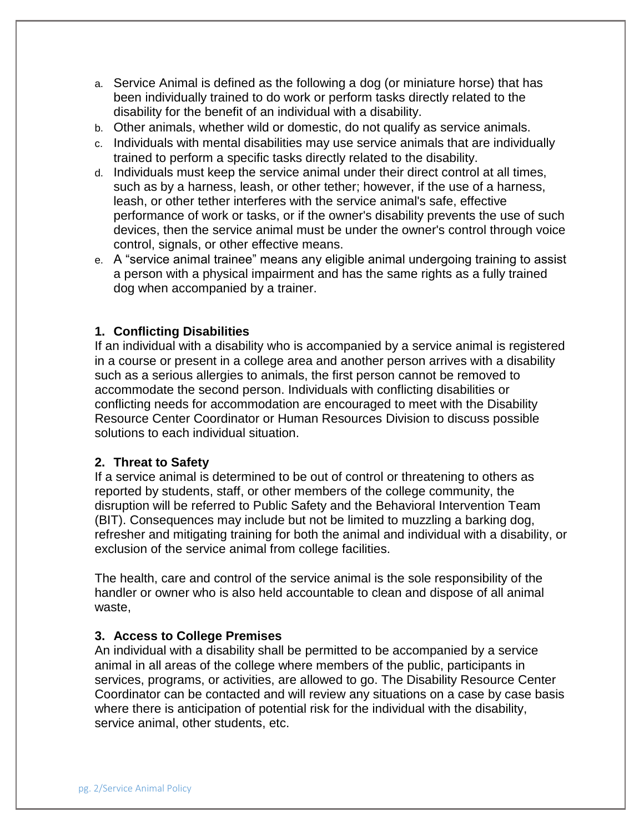- a. Service Animal is defined as the following a dog (or miniature horse) that has been individually trained to do work or perform tasks directly related to the disability for the benefit of an individual with a disability.
- b. Other animals, whether wild or domestic, do not qualify as service animals.
- c. Individuals with mental disabilities may use service animals that are individually trained to perform a specific tasks directly related to the disability.
- d. Individuals must keep the service animal under their direct control at all times, such as by a harness, leash, or other tether; however, if the use of a harness, leash, or other tether interferes with the service animal's safe, effective performance of work or tasks, or if the owner's disability prevents the use of such devices, then the service animal must be under the owner's control through voice control, signals, or other effective means.
- e. A "service animal trainee" means any eligible animal undergoing training to assist a person with a physical impairment and has the same rights as a fully trained dog when accompanied by a trainer.

#### **1. Conflicting Disabilities**

If an individual with a disability who is accompanied by a service animal is registered in a course or present in a college area and another person arrives with a disability such as a serious allergies to animals, the first person cannot be removed to accommodate the second person. Individuals with conflicting disabilities or conflicting needs for accommodation are encouraged to meet with the Disability Resource Center Coordinator or Human Resources Division to discuss possible solutions to each individual situation.

#### **2. Threat to Safety**

If a service animal is determined to be out of control or threatening to others as reported by students, staff, or other members of the college community, the disruption will be referred to Public Safety and the Behavioral Intervention Team (BIT). Consequences may include but not be limited to muzzling a barking dog, refresher and mitigating training for both the animal and individual with a disability, or exclusion of the service animal from college facilities.

The health, care and control of the service animal is the sole responsibility of the handler or owner who is also held accountable to clean and dispose of all animal waste,

#### **3. Access to College Premises**

An individual with a disability shall be permitted to be accompanied by a service animal in all areas of the college where members of the public, participants in services, programs, or activities, are allowed to go. The Disability Resource Center Coordinator can be contacted and will review any situations on a case by case basis where there is anticipation of potential risk for the individual with the disability, service animal, other students, etc.